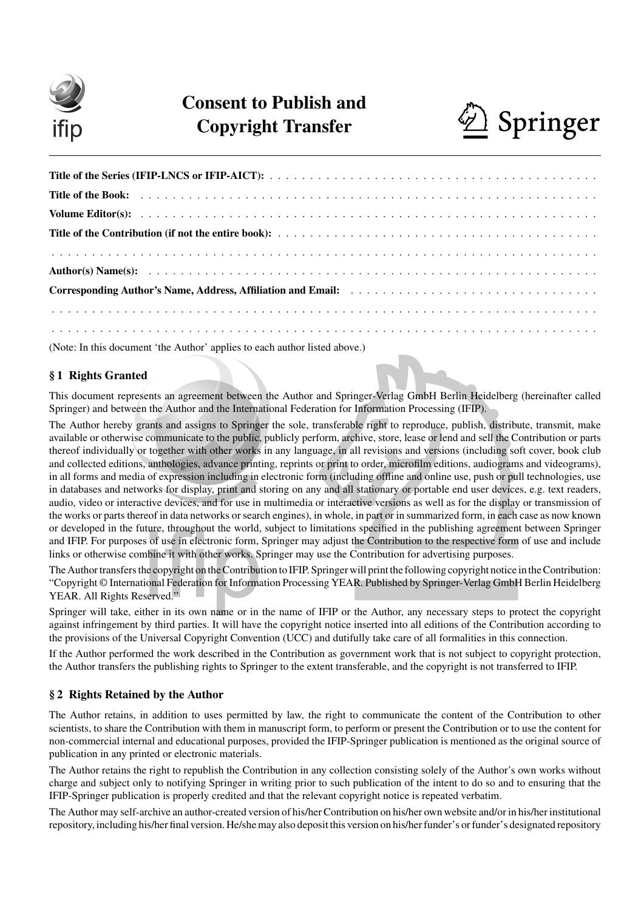

# Consent to Publish and Copyright Transfer  $\bigotimes$  Springer



(Note: In this document 'the Author' applies to each author listed above.)

# § 1 Rights Granted

This document represents an agreement between the Author and Springer-Verlag GmbH Berlin Heidelberg (hereinafter called Springer) and between the Author and the International Federation for Information Processing (IFIP).

nger-Verlag GmbH Berlin Heidelberg<br>Information Processing (IFIP).<br>De right to reproduce, publish, distrib<br>shive, store, lease or lend and sell the C<br>ull revisions and versions (including sc<br>o order, microfilm editions, aud The Author hereby grants and assigns to Springer the sole, transferable right to reproduce, publish, distribute, transmit, make available or otherwise communicate to the public, publicly perform, archive, store, lease or lend and sell the Contribution or parts thereof individually or together with other works in any language, in all revisions and versions (including soft cover, book club and collected editions, anthologies, advance printing, reprints or print to order, microfilm editions, audiograms and videograms), in all forms and media of expression including in electronic form (including offline and online use, push or pull technologies, use in databases and networks for display, print and storing on any and all stationary or portable end user devices, e.g. text readers, audio, video or interactive devices, and for use in multimedia or interactive versions as well as for the display or transmission of the works or parts thereof in data networks or search engines), in whole, in part or in summarized form, in each case as now known or developed in the future, throughout the world, subject to limitations specified in the publishing agreement between Springer and IFIP. For purposes of use in electronic form, Springer may adjust the Contribution to the respective form of use and include links or otherwise combine it with other works. Springer may use the Contribution for advertising purposes.

The Author transfers the copyright on the Contribution to IFIP. Springer will print the following copyright notice in the Contribution: "Copyright © International Federation for Information Processing YEAR. Published by Springer-Verlag GmbH Berlin Heidelberg YEAR. All Rights Reserved."

Springer will take, either in its own name or in the name of IFIP or the Author, any necessary steps to protect the copyright against infringement by third parties. It will have the copyright notice inserted into all editions of the Contribution according to the provisions of the Universal Copyright Convention (UCC) and dutifully take care of all formalities in this connection.

If the Author performed the work described in the Contribution as government work that is not subject to copyright protection, the Author transfers the publishing rights to Springer to the extent transferable, and the copyright is not transferred to IFIP.

# § 2 Rights Retained by the Author

The Author retains, in addition to uses permitted by law, the right to communicate the content of the Contribution to other scientists, to share the Contribution with them in manuscript form, to perform or present the Contribution or to use the content for non-commercial internal and educational purposes, provided the IFIP-Springer publication is mentioned as the original source of publication in any printed or electronic materials.

The Author retains the right to republish the Contribution in any collection consisting solely of the Author's own works without charge and subject only to notifying Springer in writing prior to such publication of the intent to do so and to ensuring that the IFIP-Springer publication is properly credited and that the relevant copyright notice is repeated verbatim.

The Author may self-archive an author-created version of his/her Contribution on his/her own website and/or in his/her institutional repository, including his/her final version. He/she may also deposit this version on his/her funder's or funder's designated repository